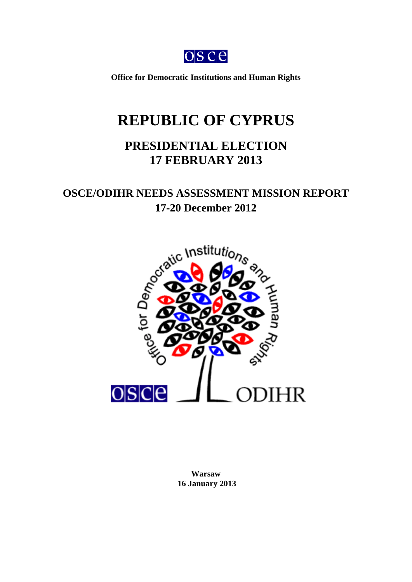$OSC<sub>c</sub>$ 

**Office for Democratic Institutions and Human Rights** 

# **REPUBLIC OF CYPRUS**

## **PRESIDENTIAL ELECTION 17 FEBRUARY 2013**

## **OSCE/ODIHR NEEDS ASSESSMENT MISSION REPORT 17-20 December 2012**

<span id="page-0-0"></span>

**Warsaw 16 January 2013**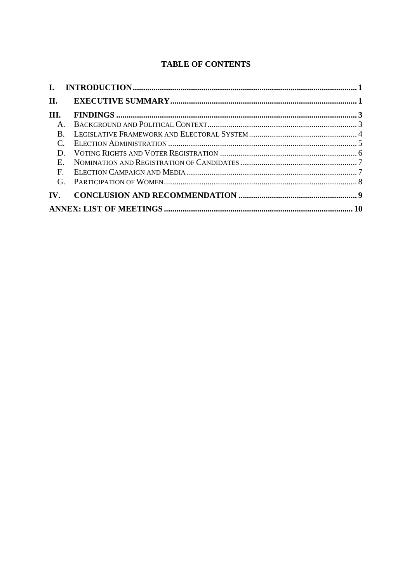### **TABLE OF CONTENTS**

| П.                |             |  |
|-------------------|-------------|--|
| III.              |             |  |
|                   | $A_{\cdot}$ |  |
|                   | B.          |  |
|                   |             |  |
|                   | D.          |  |
|                   | $E_{\perp}$ |  |
| $\mathbf{F}$      |             |  |
|                   | $G_{\perp}$ |  |
| $\mathbf{IV}_{-}$ |             |  |
|                   |             |  |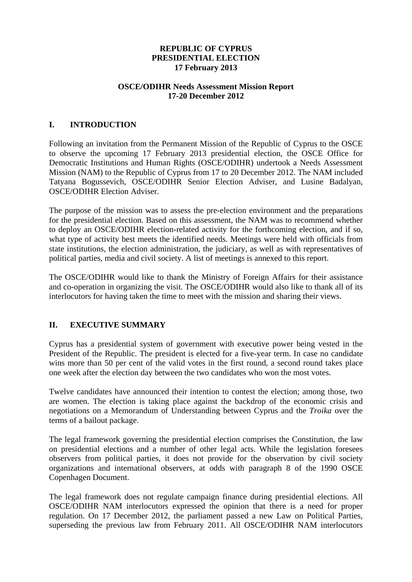#### **REPUBLIC OF CYPRUS PRESIDENTIAL ELECTION 17 February 2013**

#### **OSCE/ODIHR Needs Assessment Mission Report 17-20 December 2012**

#### <span id="page-2-0"></span>**I. INTRODUCTION**

Following an invitation from the Permanent Mission of the Republic of Cyprus to the OSCE to observe the upcoming 17 February 2013 presidential election, the OSCE Office for Democratic Institutions and Human Rights (OSCE/ODIHR) undertook a Needs Assessment Mission (NAM) to the Republic of Cyprus from 17 to 20 December 2012. The NAM included Tatyana Bogussevich, OSCE/ODIHR Senior Election Adviser, and Lusine Badalyan, OSCE/ODIHR Election Adviser.

The purpose of the mission was to assess the pre-election environment and the preparations for the presidential election. Based on this assessment, the NAM was to recommend whether to deploy an OSCE/ODIHR election-related activity for the forthcoming election, and if so, what type of activity best meets the identified needs. Meetings were held with officials from state institutions, the election administration, the judiciary, as well as with representatives of political parties, media and civil society. A list of meetings is annexed to this report.

The OSCE/ODIHR would like to thank the Ministry of Foreign Affairs for their assistance and co-operation in organizing the visit. The OSCE/ODIHR would also like to thank all of its interlocutors for having taken the time to meet with the mission and sharing their views.

#### <span id="page-2-1"></span>**II. EXECUTIVE SUMMARY**

Cyprus has a presidential system of government with executive power being vested in the President of the Republic. The president is elected for a five-year term. In case no candidate wins more than 50 per cent of the valid votes in the first round, a second round takes place one week after the election day between the two candidates who won the most votes.

Twelve candidates have announced their intention to contest the election; among those, two are women. The election is taking place against the backdrop of the economic crisis and negotiations on a Memorandum of Understanding between Cyprus and the *Troika* over the terms of a bailout package.

The legal framework governing the presidential election comprises the Constitution, the law on presidential elections and a number of other legal acts. While the legislation foresees observers from political parties, it does not provide for the observation by civil society organizations and international observers, at odds with paragraph 8 of the 1990 OSCE Copenhagen Document.

The legal framework does not regulate campaign finance during presidential elections. All OSCE/ODIHR NAM interlocutors expressed the opinion that there is a need for proper regulation. On 17 December 2012, the parliament passed a new Law on Political Parties, superseding the previous law from February 2011. All OSCE/ODIHR NAM interlocutors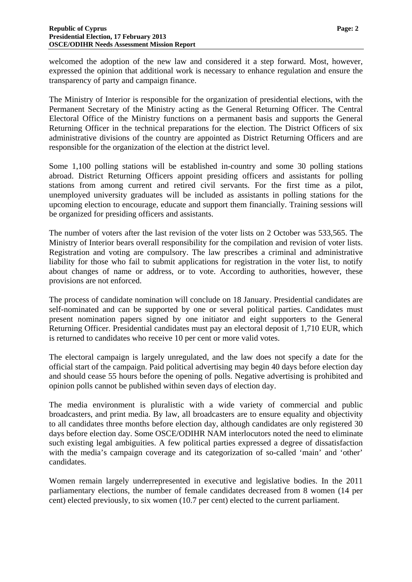welcomed the adoption of the new law and considered it a step forward. Most, however, expressed the opinion that additional work is necessary to enhance regulation and ensure the transparency of party and campaign finance.

The Ministry of Interior is responsible for the organization of presidential elections, with the Permanent Secretary of the Ministry acting as the General Returning Officer. The Central Electoral Office of the Ministry functions on a permanent basis and supports the General Returning Officer in the technical preparations for the election. The District Officers of six administrative divisions of the country are appointed as District Returning Officers and are responsible for the organization of the election at the district level.

Some 1,100 polling stations will be established in-country and some 30 polling stations abroad. District Returning Officers appoint presiding officers and assistants for polling stations from among current and retired civil servants. For the first time as a pilot, unemployed university graduates will be included as assistants in polling stations for the upcoming election to encourage, educate and support them financially. Training sessions will be organized for presiding officers and assistants.

The number of voters after the last revision of the voter lists on 2 October was 533,565. The Ministry of Interior bears overall responsibility for the compilation and revision of voter lists. Registration and voting are compulsory. The law prescribes a criminal and administrative liability for those who fail to submit applications for registration in the voter list, to notify about changes of name or address, or to vote. According to authorities, however, these provisions are not enforced.

The process of candidate nomination will conclude on 18 January. Presidential candidates are self-nominated and can be supported by one or several political parties. Candidates must present nomination papers signed by one initiator and eight supporters to the General Returning Officer. Presidential candidates must pay an electoral deposit of 1,710 EUR, which is returned to candidates who receive 10 per cent or more valid votes.

The electoral campaign is largely unregulated, and the law does not specify a date for the official start of the campaign. Paid political advertising may begin 40 days before election day and should cease 55 hours before the opening of polls. Negative advertising is prohibited and opinion polls cannot be published within seven days of election day.

The media environment is pluralistic with a wide variety of commercial and public broadcasters, and print media. By law, all broadcasters are to ensure equality and objectivity to all candidates three months before election day, although candidates are only registered 30 days before election day. Some OSCE/ODIHR NAM interlocutors noted the need to eliminate such existing legal ambiguities. A few political parties expressed a degree of dissatisfaction with the media's campaign coverage and its categorization of so-called 'main' and 'other' candidates.

Women remain largely underrepresented in executive and legislative bodies. In the 2011 parliamentary elections, the number of female candidates decreased from 8 women (14 per cent) elected previously, to six women (10.7 per cent) elected to the current parliament.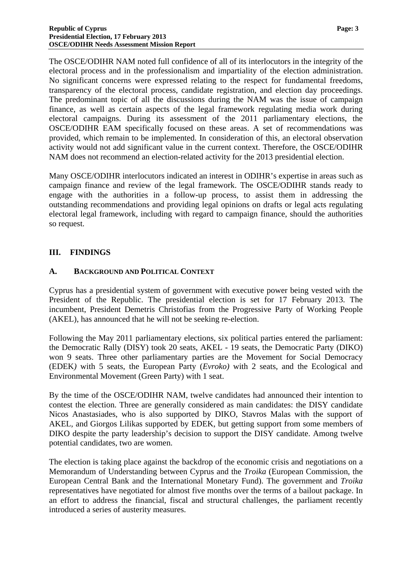The OSCE/ODIHR NAM noted full confidence of all of its interlocutors in the integrity of the electoral process and in the professionalism and impartiality of the election administration. No significant concerns were expressed relating to the respect for fundamental freedoms, transparency of the electoral process, candidate registration, and election day proceedings. The predominant topic of all the discussions during the NAM was the issue of campaign finance, as well as certain aspects of the legal framework regulating media work during electoral campaigns. During its assessment of the 2011 parliamentary elections, the OSCE/ODIHR EAM specifically focused on these areas. A set of recommendations was provided, which remain to be implemented. In consideration of this, an electoral observation activity would not add significant value in the current context. Therefore, the OSCE/ODIHR NAM does not recommend an election-related activity for the 2013 presidential election.

Many OSCE/ODIHR interlocutors indicated an interest in ODIHR's expertise in areas such as campaign finance and review of the legal framework. The OSCE/ODIHR stands ready to engage with the authorities in a follow-up process, to assist them in addressing the outstanding recommendations and providing legal opinions on drafts or legal acts regulating electoral legal framework, including with regard to campaign finance, should the authorities so request.

#### <span id="page-4-0"></span>**III. FINDINGS**

#### <span id="page-4-1"></span>**A. BACKGROUND AND POLITICAL CONTEXT**

Cyprus has a presidential system of government with executive power being vested with the President of the Republic. The presidential election is set for 17 February 2013. The incumbent, President Demetris Christofias from the Progressive Party of Working People (AKEL), has announced that he will not be seeking re-election.

Following the May 2011 parliamentary elections, six political parties entered the parliament: the Democratic Rally (DISY) took 20 seats, AKEL - 19 seats, the Democratic Party (DIKO) won 9 seats. Three other parliamentary parties are the Movement for Social Democracy (EDEK*)* with 5 seats, the European Party (*Evroko)* with 2 seats, and the Ecological and Environmental Movement (Green Party) with 1 seat.

By the time of the OSCE/ODIHR NAM, twelve candidates had announced their intention to contest the election. Three are generally considered as main candidates: the DISY candidate Nicos Anastasiades, who is also supported by DIKO, Stavros Malas with the support of AKEL*,* and Giorgos Lilikas supported by EDEK, but getting support from some members of DIKO despite the party leadership's decision to support the DISY candidate. Among twelve potential candidates, two are women.

The election is taking place against the backdrop of the economic crisis and negotiations on a Memorandum of Understanding between Cyprus and the *Troika* (European Commission, the European Central Bank and the International Monetary Fund). The government and *Troika*  representatives have negotiated for almost five months over the terms of a bailout package. In an effort to address the financial, fiscal and structural challenges, the parliament recently introduced a series of austerity measures.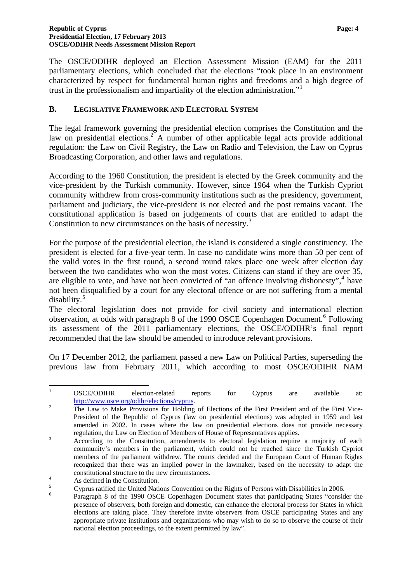The OSCE/ODIHR deployed an Election Assessment Mission (EAM) for the 2011 parliamentary elections, which concluded that the elections "took place in an environment characterized by respect for fundamental human rights and freedoms and a high degree of trust in the professionalism and impartiality of the election administration."<sup>[1](#page-0-0)</sup>

#### <span id="page-5-0"></span>**B. LEGISLATIVE FRAMEWORK AND ELECTORAL SYSTEM**

The legal framework governing the presidential election comprises the Constitution and the law on presidential elections.<sup>[2](#page-5-1)</sup> A number of other applicable legal acts provide additional regulation: the Law on Civil Registry, the Law on Radio and Television, the Law on Cyprus Broadcasting Corporation, and other laws and regulations.

According to the 1960 Constitution, the president is elected by the Greek community and the vice-president by the Turkish community. However, since 1964 when the Turkish Cypriot community withdrew from cross-community institutions such as the presidency, government, parliament and judiciary, the vice-president is not elected and the post remains vacant. The constitutional application is based on judgements of courts that are entitled to adapt the Constitution to new circumstances on the basis of necessity.<sup>[3](#page-5-2)</sup>

For the purpose of the presidential election, the island is considered a single constituency. The president is elected for a five-year term. In case no candidate wins more than 50 per cent of the valid votes in the first round, a second round takes place one week after election day between the two candidates who won the most votes. Citizens can stand if they are over 35, are eligible to vote, and have not been convicted of "an offence involving dishonesty", $4$  have not been disqualified by a court for any electoral offence or are not suffering from a mental disability.[5](#page-5-4)

The electoral legislation does not provide for civil society and international election observation, at odds with paragraph 8 of the 1990 OSCE Copenhagen Document.<sup>[6](#page-5-5)</sup> Following its assessment of the 2011 parliamentary elections, the OSCE/ODIHR's final report recommended that the law should be amended to introduce relevant provisions.

On 17 December 2012, the parliament passed a new Law on Political Parties, superseding the previous law from February 2011, which according to most OSCE/ODIHR NAM

 $\frac{1}{1}$  OSCE/ODIHR election-related reports for Cyprus are available at: [http://www.osce.org/odihr/elections/cyprus.](http://www.osce.org/odihr/elections/cyprus)

<span id="page-5-1"></span>The Law to Make Provisions for Holding of Elections of the First President and of the First Vice-President of the Republic of Cyprus (law on presidential elections) was adopted in 1959 and last amended in 2002. In cases where the law on presidential elections does not provide necessary regulation, the Law on Election of Members of House of Representatives applies. 3

<span id="page-5-2"></span>According to the Constitution, amendments to electoral legislation require a majority of each community's members in the parliament, which could not be reached since the Turkish Cypriot members of the parliament withdrew. The courts decided and the European Court of Human Rights recognized that there was an implied power in the lawmaker, based on the necessity to adapt the constitutional structure to the new circumstances.

<span id="page-5-6"></span>As defined in the Constitution.

<span id="page-5-4"></span><span id="page-5-3"></span><sup>5</sup> Cyprus ratified the United Nations Convention on the Rights of Persons with Disabilities in 2006.

<span id="page-5-5"></span><sup>6</sup> Paragraph 8 of the 1990 OSCE Copenhagen Document states that participating States "consider the presence of observers, both foreign and domestic, can enhance the electoral process for States in which elections are taking place. They therefore invite observers from OSCE participating States and any appropriate private institutions and organizations who may wish to do so to observe the course of their national election proceedings, to the extent permitted by law".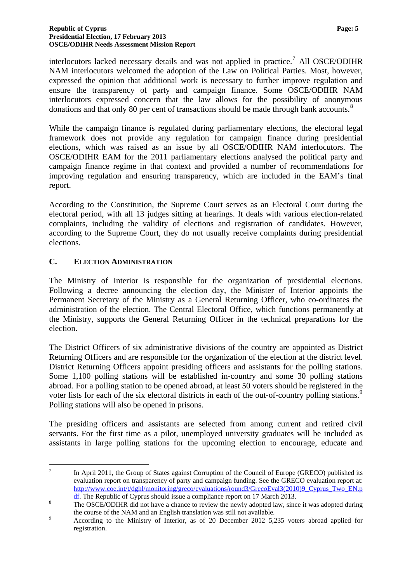interlocutors lacked necessary details and was not applied in practice.<sup>[7](#page-5-6)</sup> All OSCE/ODIHR NAM interlocutors welcomed the adoption of the Law on Political Parties. Most, however, expressed the opinion that additional work is necessary to further improve regulation and ensure the transparency of party and campaign finance. Some OSCE/ODIHR NAM interlocutors expressed concern that the law allows for the possibility of anonymous donations and that only [8](#page-6-1)0 per cent of transactions should be made through bank accounts.<sup>8</sup>

While the campaign finance is regulated during parliamentary elections, the electoral legal framework does not provide any regulation for campaign finance during presidential elections, which was raised as an issue by all OSCE/ODIHR NAM interlocutors. The OSCE/ODIHR EAM for the 2011 parliamentary elections analysed the political party and campaign finance regime in that context and provided a number of recommendations for improving regulation and ensuring transparency, which are included in the EAM's final report.

According to the Constitution, the Supreme Court serves as an Electoral Court during the electoral period, with all 13 judges sitting at hearings. It deals with various election-related complaints, including the validity of elections and registration of candidates. However, according to the Supreme Court, they do not usually receive complaints during presidential elections.

#### <span id="page-6-0"></span>**C. ELECTION ADMINISTRATION**

The Ministry of Interior is responsible for the organization of presidential elections. Following a decree announcing the election day, the Minister of Interior appoints the Permanent Secretary of the Ministry as a General Returning Officer, who co-ordinates the administration of the election. The Central Electoral Office, which functions permanently at the Ministry, supports the General Returning Officer in the technical preparations for the election.

The District Officers of six administrative divisions of the country are appointed as District Returning Officers and are responsible for the organization of the election at the district level. District Returning Officers appoint presiding officers and assistants for the polling stations. Some 1,100 polling stations will be established in-country and some 30 polling stations abroad. For a polling station to be opened abroad, at least 50 voters should be registered in the voter lists for each of the six electoral districts in each of the out-of-country polling stations.<sup>[9](#page-6-2)</sup> Polling stations will also be opened in prisons.

<span id="page-6-3"></span>The presiding officers and assistants are selected from among current and retired civil servants. For the first time as a pilot, unemployed university graduates will be included as assistants in large polling stations for the upcoming election to encourage, educate and

<sup>1</sup> 7 In April 2011, the Group of States against Corruption of the Council of Europe (GRECO) published its evaluation report on transparency of party and campaign funding. See the GRECO evaluation report at: [http://www.coe.int/t/dghl/monitoring/greco/evaluations/round3/GrecoEval3\(2010\)9\\_Cyprus\\_Two\\_EN.p](http://www.coe.int/t/dghl/monitoring/greco/evaluations/round3/GrecoEval3(2010)9_Cyprus_Two_EN.pdf)

 $\frac{df}{dr}$ . The Republic of Cyprus should issue a compliance report on 17 March 2013.

<span id="page-6-1"></span>The OSCE/ODIHR did not have a chance to review the newly adopted law, since it was adopted during the course of the NAM and an English translation was still not available.

<span id="page-6-2"></span>According to the Ministry of Interior, as of 20 December 2012 5,235 voters abroad applied for registration.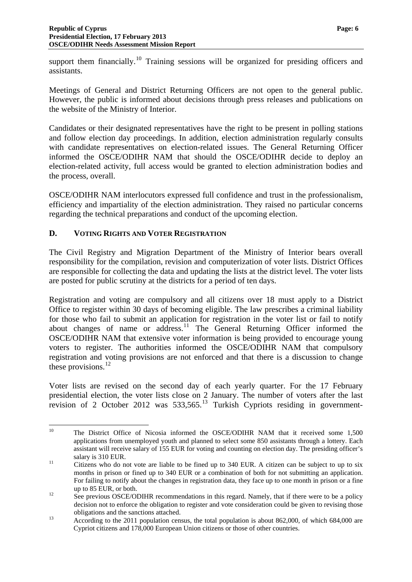support them financially.<sup>[10](#page-6-3)</sup> Training sessions will be organized for presiding officers and assistants.

Meetings of General and District Returning Officers are not open to the general public. However, the public is informed about decisions through press releases and publications on the website of the Ministry of Interior.

Candidates or their designated representatives have the right to be present in polling stations and follow election day proceedings. In addition, election administration regularly consults with candidate representatives on election-related issues. The General Returning Officer informed the OSCE/ODIHR NAM that should the OSCE/ODIHR decide to deploy an election-related activity, full access would be granted to election administration bodies and the process, overall.

OSCE/ODIHR NAM interlocutors expressed full confidence and trust in the professionalism, efficiency and impartiality of the election administration. They raised no particular concerns regarding the technical preparations and conduct of the upcoming election.

#### <span id="page-7-0"></span>**D. VOTING RIGHTS AND VOTER REGISTRATION**

The Civil Registry and Migration Department of the Ministry of Interior bears overall responsibility for the compilation, revision and computerization of voter lists. District Offices are responsible for collecting the data and updating the lists at the district level. The voter lists are posted for public scrutiny at the districts for a period of ten days.

Registration and voting are compulsory and all citizens over 18 must apply to a District Office to register within 30 days of becoming eligible. The law prescribes a criminal liability for those who fail to submit an application for registration in the voter list or fail to notify about changes of name or address.<sup>[11](#page-7-1)</sup> The General Returning Officer informed the OSCE/ODIHR NAM that extensive voter information is being provided to encourage young voters to register. The authorities informed the OSCE/ODIHR NAM that compulsory registration and voting provisions are not enforced and that there is a discussion to change these provisions. $^{12}$  $^{12}$  $^{12}$ 

Voter lists are revised on the second day of each yearly quarter. For the 17 February presidential election, the voter lists close on 2 January. The number of voters after the last revision of 2 October 2012 was  $533.565$ <sup>[13](#page-7-3)</sup> Turkish Cypriots residing in government-

 $10$ 10 The District Office of Nicosia informed the OSCE/ODIHR NAM that it received some 1,500 applications from unemployed youth and planned to select some 850 assistants through a lottery. Each assistant will receive salary of 155 EUR for voting and counting on election day. The presiding officer's

<span id="page-7-1"></span>salary is 310 EUR.<br>Citizens who do not vote are liable to be fined up to 340 EUR. A citizen can be subject to up to six months in prison or fined up to 340 EUR or a combination of both for not submitting an application. For failing to notify about the changes in registration data, they face up to one month in prison or a fine

<span id="page-7-2"></span>up to 85 EUR, or both.<br>
<sup>12</sup> See previous OSCE/ODIHR recommendations in this regard. Namely, that if there were to be a policy decision not to enforce the obligation to register and vote consideration could be given to revising those obligations and the sanctions attached.<br>According to the 2011 population census, the total population is about 862,000, of which 684,000 are

<span id="page-7-3"></span>Cypriot citizens and 178,000 European Union citizens or those of other countries.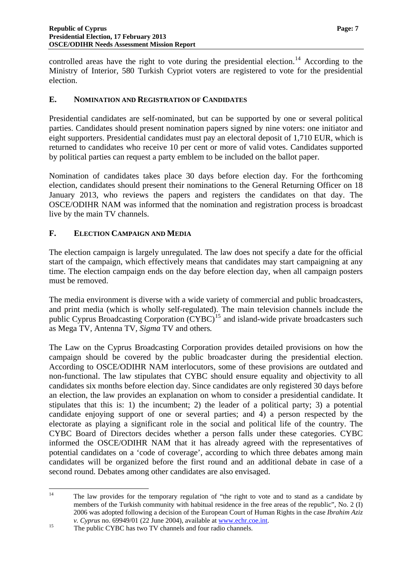controlled areas have the right to vote during the presidential election.<sup>[14](#page-7-2)</sup> According to the Ministry of Interior, 580 Turkish Cypriot voters are registered to vote for the presidential election.

#### <span id="page-8-0"></span>**E. NOMINATION AND REGISTRATION OF CANDIDATES**

Presidential candidates are self-nominated, but can be supported by one or several political parties. Candidates should present nomination papers signed by nine voters: one initiator and eight supporters. Presidential candidates must pay an electoral deposit of 1,710 EUR, which is returned to candidates who receive 10 per cent or more of valid votes. Candidates supported by political parties can request a party emblem to be included on the ballot paper.

Nomination of candidates takes place 30 days before election day. For the forthcoming election, candidates should present their nominations to the General Returning Officer on 18 January 2013, who reviews the papers and registers the candidates on that day. The OSCE/ODIHR NAM was informed that the nomination and registration process is broadcast live by the main TV channels.

#### <span id="page-8-1"></span>**F. ELECTION CAMPAIGN AND MEDIA**

The election campaign is largely unregulated. The law does not specify a date for the official start of the campaign, which effectively means that candidates may start campaigning at any time. The election campaign ends on the day before election day, when all campaign posters must be removed.

The media environment is diverse with a wide variety of commercial and public broadcasters, and print media (which is wholly self-regulated). The main television channels include the public Cyprus Broadcasting Corporation (CYBC)<sup>[15](#page-8-2)</sup> and island-wide private broadcasters such as Mega TV*,* Antenna TV*, Sigma* TV and others*.*

The Law on the Cyprus Broadcasting Corporation provides detailed provisions on how the campaign should be covered by the public broadcaster during the presidential election. According to OSCE/ODIHR NAM interlocutors, some of these provisions are outdated and non-functional. The law stipulates that CYBC should ensure equality and objectivity to all candidates six months before election day. Since candidates are only registered 30 days before an election, the law provides an explanation on whom to consider a presidential candidate. It stipulates that this is: 1) the incumbent; 2) the leader of a political party; 3) a potential candidate enjoying support of one or several parties; and 4) a person respected by the electorate as playing a significant role in the social and political life of the country. The CYBC Board of Directors decides whether a person falls under these categories. CYBC informed the OSCE/ODIHR NAM that it has already agreed with the representatives of potential candidates on a 'code of coverage', according to which three debates among main candidates will be organized before the first round and an additional debate in case of a second round. Debates among other candidates are also envisaged.

<span id="page-8-3"></span> $14$ 14 The law provides for the temporary regulation of "the right to vote and to stand as a candidate by members of the Turkish community with habitual residence in the free areas of the republic", No. 2 (I) 2006 was adopted following a decision of the European Court of Human Rights in the case *Ibrahim Aziz* 

<span id="page-8-2"></span>*v. Cyprus* no. 69949/01 (22 June 2004), available at <u>www.echr.coe.int</u>.<br><sup>15</sup> The public CYBC has two TV channels and four radio channels.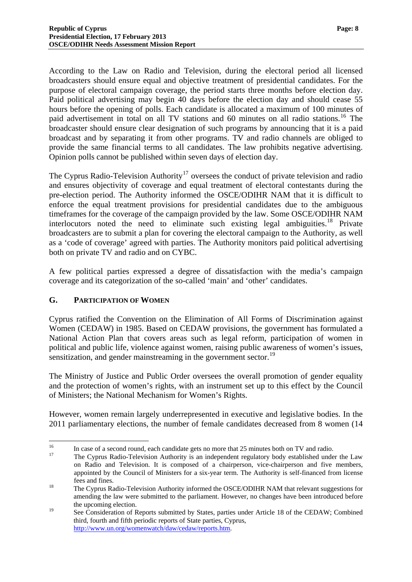According to the Law on Radio and Television, during the electoral period all licensed broadcasters should ensure equal and objective treatment of presidential candidates. For the purpose of electoral campaign coverage, the period starts three months before election day. Paid political advertising may begin 40 days before the election day and should cease 55 hours before the opening of polls. Each candidate is allocated a maximum of 100 minutes of paid advertisement in total on all TV stations and 60 minutes on all radio stations.<sup>[16](#page-8-3)</sup> The broadcaster should ensure clear designation of such programs by announcing that it is a paid broadcast and by separating it from other programs. TV and radio channels are obliged to provide the same financial terms to all candidates. The law prohibits negative advertising. Opinion polls cannot be published within seven days of election day.

The Cyprus Radio-Television Authority<sup>[17](#page-9-1)</sup> oversees the conduct of private television and radio and ensures objectivity of coverage and equal treatment of electoral contestants during the pre-election period. The Authority informed the OSCE/ODIHR NAM that it is difficult to enforce the equal treatment provisions for presidential candidates due to the ambiguous timeframes for the coverage of the campaign provided by the law. Some OSCE/ODIHR NAM interlocutors noted the need to eliminate such existing legal ambiguities.<sup>[18](#page-9-2)</sup> Private broadcasters are to submit a plan for covering the electoral campaign to the Authority, as well as a 'code of coverage' agreed with parties. The Authority monitors paid political advertising both on private TV and radio and on CYBC.

A few political parties expressed a degree of dissatisfaction with the media's campaign coverage and its categorization of the so-called 'main' and 'other' candidates.

#### <span id="page-9-0"></span>**G. PARTICIPATION OF WOMEN**

Cyprus ratified the Convention on the Elimination of All Forms of Discrimination against Women (CEDAW) in 1985. Based on CEDAW provisions, the government has formulated a National Action Plan that covers areas such as legal reform, participation of women in political and public life, violence against women, raising public awareness of women's issues, sensitization, and gender mainstreaming in the government sector.<sup>[19](#page-9-3)</sup>

The Ministry of Justice and Public Order oversees the overall promotion of gender equality and the protection of women's rights, with an instrument set up to this effect by the Council of Ministers; the National Mechanism for Women's Rights.

However, women remain largely underrepresented in executive and legislative bodies. In the 2011 parliamentary elections, the number of female candidates decreased from 8 women (14

 $16$ <sup>16</sup> In case of a second round, each candidate gets no more that 25 minutes both on TV and radio.

<span id="page-9-1"></span><sup>17</sup> The Cyprus Radio-Television Authority is an independent regulatory body established under the Law on Radio and Television. It is composed of a chairperson, vice-chairperson and five members, appointed by the Council of Ministers for a six-year term. The Authority is self-financed from license fees and fines. 18 The Cyprus Radio-Television Authority informed the OSCE/ODIHR NAM that relevant suggestions for

<span id="page-9-2"></span>amending the law were submitted to the parliament. However, no changes have been introduced before the upcoming election.

<span id="page-9-3"></span><sup>&</sup>lt;sup>19</sup> See Consideration of Reports submitted by States, parties under Article 18 of the CEDAW; Combined third, fourth and fifth periodic reports of State parties, Cyprus, [http://www.un.org/womenwatch/daw/cedaw/reports.htm.](http://www.un.org/womenwatch/daw/cedaw/reports.htm)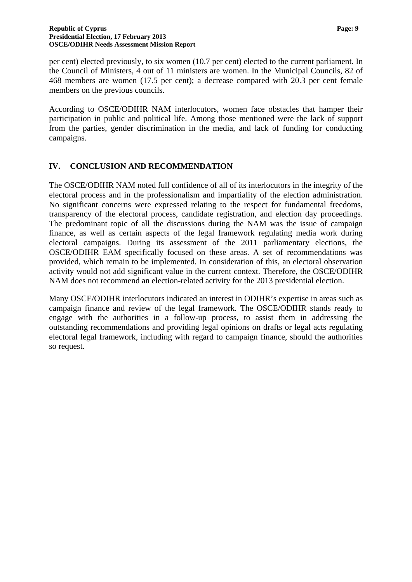per cent) elected previously, to six women (10.7 per cent) elected to the current parliament. In the Council of Ministers, 4 out of 11 ministers are women. In the Municipal Councils, 82 of 468 members are women (17.5 per cent); a decrease compared with 20.3 per cent female members on the previous councils.

According to OSCE/ODIHR NAM interlocutors, women face obstacles that hamper their participation in public and political life. Among those mentioned were the lack of support from the parties, gender discrimination in the media, and lack of funding for conducting campaigns.

#### <span id="page-10-0"></span>**IV. CONCLUSION AND RECOMMENDATION**

The OSCE/ODIHR NAM noted full confidence of all of its interlocutors in the integrity of the electoral process and in the professionalism and impartiality of the election administration. No significant concerns were expressed relating to the respect for fundamental freedoms, transparency of the electoral process, candidate registration, and election day proceedings. The predominant topic of all the discussions during the NAM was the issue of campaign finance, as well as certain aspects of the legal framework regulating media work during electoral campaigns. During its assessment of the 2011 parliamentary elections, the OSCE/ODIHR EAM specifically focused on these areas. A set of recommendations was provided, which remain to be implemented. In consideration of this, an electoral observation activity would not add significant value in the current context. Therefore, the OSCE/ODIHR NAM does not recommend an election-related activity for the 2013 presidential election.

Many OSCE/ODIHR interlocutors indicated an interest in ODIHR's expertise in areas such as campaign finance and review of the legal framework. The OSCE/ODIHR stands ready to engage with the authorities in a follow-up process, to assist them in addressing the outstanding recommendations and providing legal opinions on drafts or legal acts regulating electoral legal framework, including with regard to campaign finance, should the authorities so request.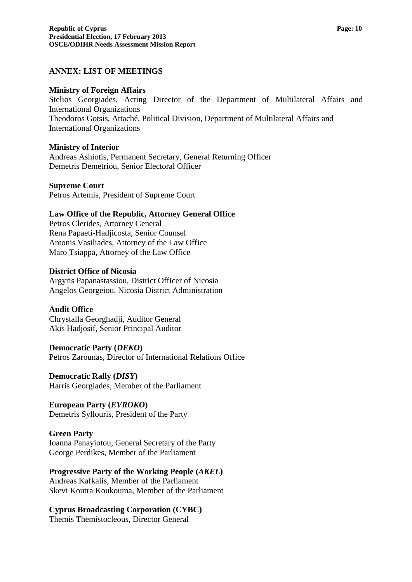#### <span id="page-11-0"></span>**ANNEX: LIST OF MEETINGS**

#### **Ministry of Foreign Affairs**

Stelios Georgiades, Acting Director of the Department of Multilateral Affairs and International Organizations Theodoros Gotsis, Attaché, Political Division, Department of Multilateral Affairs and International Organizations

#### **Ministry of Interior**

Andreas Ashiotis, Permanent Secretary, General Returning Officer Demetris Demetriou, Senior Electoral Officer

#### **Supreme Court**

Petros Artemis, President of Supreme Court

#### **Law Office of the Republic, Attorney General Office**

Petros Clerides, Attorney General Rena Papaeti-Hadjicosta, Senior Counsel Antonis Vasiliades, Attorney of the Law Office Maro Tsiappa, Attorney of the Law Office

#### **District Office of Nicosia**

Argyris Papanastassiou, District Officer of Nicosia Angelos Georgeiou, Nicosia District Administration

#### **Audit Office**

Chrystalla Georghadji, Auditor General Akis Hadjosif, Senior Principal Auditor

#### **Democratic Party (***DEKO***)**

Petros Zarounas, Director of International Relations Office

#### **Democratic Rally (***DISY***)**

Harris Georgiades, Member of the Parliament

#### **European Party (***EVROKO***)**

Demetris Syllouris, President of the Party

#### **Green Party**

Ioanna Panayiotou, General Secretary of the Party George Perdikes, Member of the Parliament

#### **Progressive Party of the Working People (***AKEL***)**

Andreas Kafkalis, Member of the Parliament Skevi Koutra Koukouma, Member of the Parliament

#### **Cyprus Broadcasting Corporation (CYBC)**

Themis Themistocleous, Director General